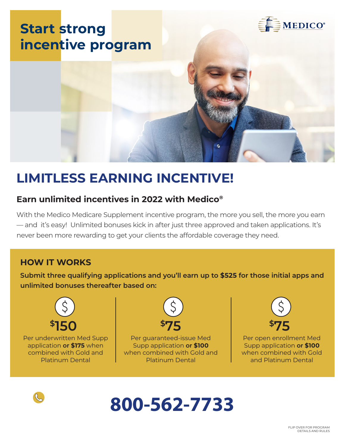

## **LIMITLESS EARNING INCENTIVE!**

### **Earn unlimited incentives in 2022 with Medico®**

With the Medico Medicare Supplement incentive program, the more you sell, the more you earn — and it's easy! Unlimited bonuses kick in after just three approved and taken applications. It's never been more rewarding to get your clients the affordable coverage they need.

### **HOW IT WORKS**

**Submit three qualifying applications and you'll earn up to \$525 for those initial apps and unlimited bonuses thereafter based on:**



Per underwritten Med Supp application **or \$175** when combined with Gold and Platinum Dental



Per guaranteed-issue Med Supp application **or \$100**  when combined with Gold and Platinum Dental



Per open enrollment Med Supp application **or \$100** when combined with Gold and Platinum Dental



# **800-562-7733**